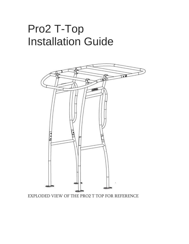# Pro2 T-Top Installation Guide



EXPLODED VIEW OF THE PRO2 T TOP FOR REFERENCE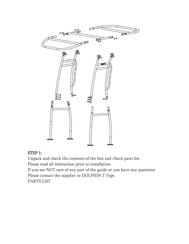

### STEP 1:

Unpack and check the contents of the box and check parts list.

Please read all Instruction prior to installation

If you are NOT sure of any part of the guide or you have any questions Please contact the supplier or DOLPHIN T Tops

PARTS LIST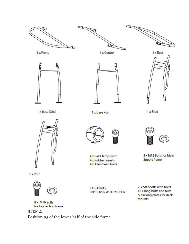

#### STEP 2:

Positioning of the lower half of the side frame.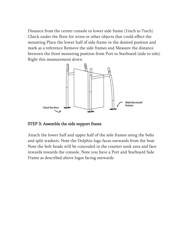Distance from the center console to lower side frame (1inch to 7inch) Check under the floor for wires or other objects that could effect the mounting Place the lower half of side frame in the desired position and mark as a reference Remove the side frames and Measure the distance between the front mounting position from Port to Starboard (side to side) Right this measurement down



STEP 3: Assemble the side support frame

Attach the lower half and upper half of the side frames using the bolts and split washers. Note the Dolphin logo faces outwards from the boat Note the bolt heads will be concealed in the counter sunk area and face inwards towards the console. Note you have a Port and Starboard Side Frame as described above logos facing outwards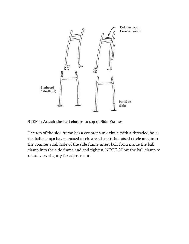

STEP 4: Attach the ball clamps to top of Side Frames

The top of the side frame has a counter sunk circle with a threaded hole; the ball clamps have a raised circle area. Insert the raised circle area into the counter sunk hole of the side frame insert bolt from inside the ball clamp into the side frame end and tighten. NOTE Allow the ball clamp to rotate very slightly for adjustment.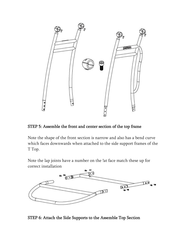

#### STEP 5: Assemble the front and center section of the top frame

Note the shape of the front section is narrow and also has a bend curve which faces downwards when attached to the side support frames of the T Top.

Note the lap joints have a number on the !at face match these up for correct installation



STEP 6: Attach the Side Supports to the Assemble Top Section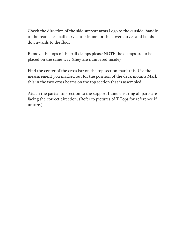Check the direction of the side support arms Logo to the outside, handle to the rear The small curved top frame for the cover curves and bends downwards to the floor

Remove the tops of the ball clamps please NOTE the clamps are to be placed on the same way (they are numbered inside)

Find the center of the cross bar on the top section mark this. Use the measurement you marked out for the position of the deck mounts Mark this in the two cross beams on the top section that is assembled.

Attach the partial top section to the support frame ensuring all parts are facing the correct direction. (Refer to pictures of T Tops for reference if unsure.)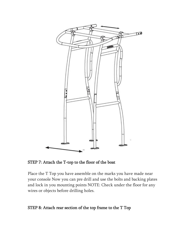

STEP 7: Attach the T-top to the floor of the boat

Place the T Top you have assemble on the marks you have made near your console Now you can pre drill and use the bolts and backing plates and lock in you mounting points NOTE: Check under the floor for any wires or objects before drilling holes.

#### STEP 8: Attach rear section of the top frame to the T Top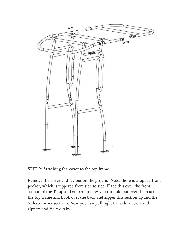

#### STEP 9: Attaching the cover to the top frame.

Remove the cover and lay out on the ground. Note: there is a zipped front pocket, which is zippered from side to side. Place this over the front section of the T-top and zipper up now you can fold out over the rest of the top frame and hook over the back and zipper this section up and the Velcro corner sections. Now you can pull tight the side section with zippers and Velcro tabs.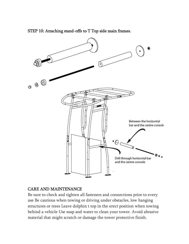

STEP 10: Attaching stand-offs to T Top side main frames.

#### CARE AND MAINTENANCE

Be sure to check and tighten all fasteners and connections prior to every use Be cautious when towing or driving under obstacles, low hanging structures or trees Leave dolphin t top in the erect position when towing behind a vehicle Use soap and water to clean your tower. Avoid abrasive material that might scratch or damage the tower protective finish.